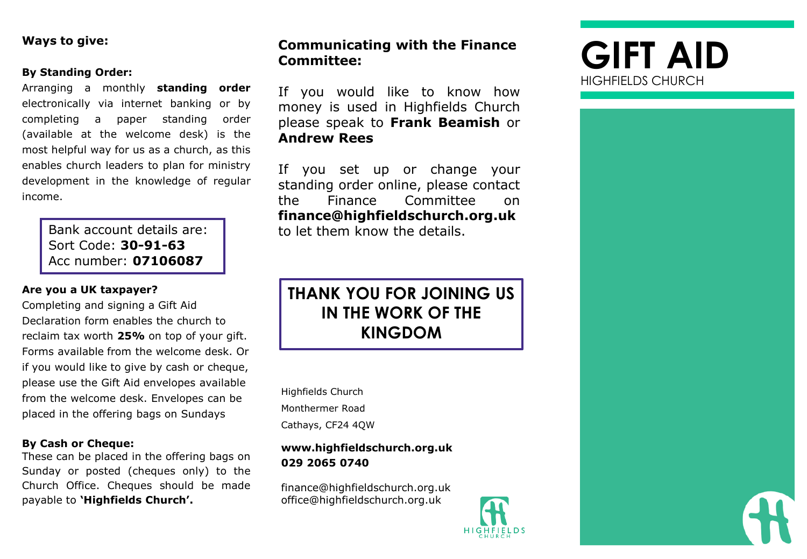# **Ways to give:**

### **By Standing Order:**

Arranging a monthly **standing order** electronically via internet banking or by completing a paper standing order (available at the welcome desk) is the most helpful way for us as a church, as this enables church leaders to plan for ministry development in the knowledge of regular income.

> Bank account details are: Sort Code: **30-91-63** Acc number: **07106087**

# **Are you a UK taxpayer?**

Completing and signing a Gift Aid Declaration form enables the church to reclaim tax worth **25%** on top of your gift. Forms available from the welcome desk. Or if you would like to give by cash or cheque, please use the Gift Aid envelopes available from the welcome desk. Envelopes can be placed in the offering bags on Sundays

### **By Cash or Cheque:**

These can be placed in the offering bags on Sunday or posted (cheques only) to the Church Office. Cheques should be made payable to **'Highfields Church'.**

# **Communicating with the Finance GIFT AID Committee:**

If you would like to know how money is used in Highfields Church please speak to **Frank Beamish** or **Andrew Rees**

If you set up or change your standing order online, please contact the Finance Committee on **finance@highfieldschurch.org.uk** to let them know the details.

# **THANK YOU FOR JOINING US IN THE WORK OF THE KINGDOM**

Highfields Church Monthermer Road Cathays, CF24 4QW

# **www.highfieldschurch.org.uk 029 2065 0740**

finance@highfieldschurch.org.uk office@highfieldschurch.org.uk



# HIGHFIELDS CHURCH